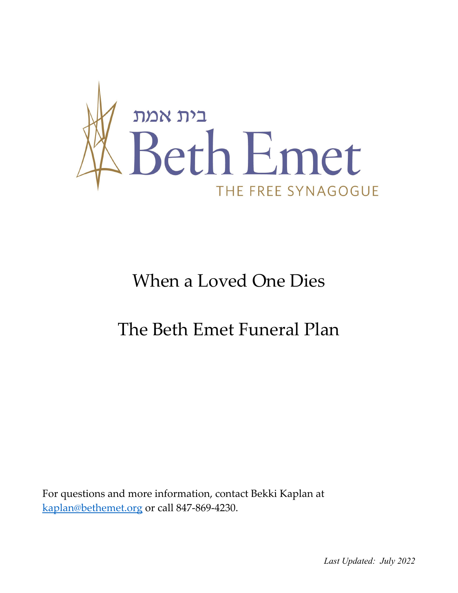

# When a Loved One Dies

## The Beth Emet Funeral Plan

For questions and more information, contact Bekki Kaplan at [kaplan@bethemet.org](mailto:kaplan@bethemet.org) or call 847-869-4230.

*Last Updated: July 2022*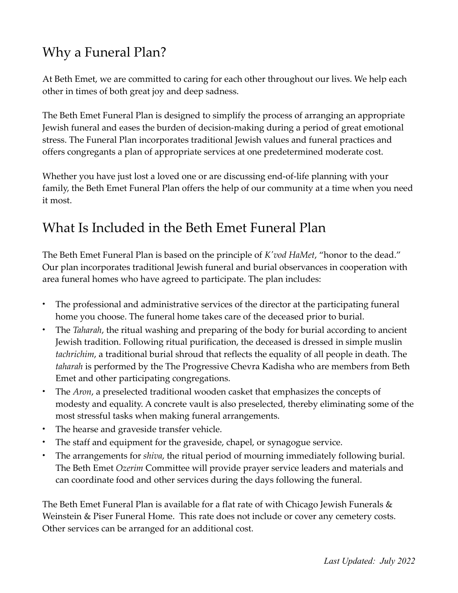### Why a Funeral Plan?

At Beth Emet, we are committed to caring for each other throughout our lives. We help each other in times of both great joy and deep sadness.

The Beth Emet Funeral Plan is designed to simplify the process of arranging an appropriate Jewish funeral and eases the burden of decision-making during a period of great emotional stress. The Funeral Plan incorporates traditional Jewish values and funeral practices and offers congregants a plan of appropriate services at one predetermined moderate cost.

Whether you have just lost a loved one or are discussing end-of-life planning with your family, the Beth Emet Funeral Plan offers the help of our community at a time when you need it most.

### What Is Included in the Beth Emet Funeral Plan

The Beth Emet Funeral Plan is based on the principle of *K'vod HaMet*, "honor to the dead." Our plan incorporates traditional Jewish funeral and burial observances in cooperation with area funeral homes who have agreed to participate. The plan includes:

- The professional and administrative services of the director at the participating funeral home you choose. The funeral home takes care of the deceased prior to burial.
- The *Taharah*, the ritual washing and preparing of the body for burial according to ancient Jewish tradition. Following ritual purification, the deceased is dressed in simple muslin *tachrichim*, a traditional burial shroud that reflects the equality of all people in death. The *taharah* is performed by the The Progressive Chevra Kadisha who are members from Beth Emet and other participating congregations.
- The *Aron*, a preselected traditional wooden casket that emphasizes the concepts of modesty and equality. A concrete vault is also preselected, thereby eliminating some of the most stressful tasks when making funeral arrangements.
- The hearse and graveside transfer vehicle.
- The staff and equipment for the graveside, chapel, or synagogue service.
- The arrangements for *shiva*, the ritual period of mourning immediately following burial. The Beth Emet *Ozerim* Committee will provide prayer service leaders and materials and can coordinate food and other services during the days following the funeral.

The Beth Emet Funeral Plan is available for a flat rate of with Chicago Jewish Funerals & Weinstein & Piser Funeral Home. This rate does not include or cover any cemetery costs. Other services can be arranged for an additional cost.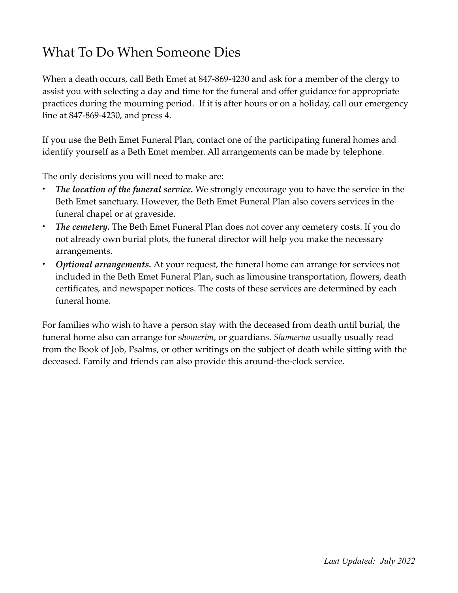### What To Do When Someone Dies

When a death occurs, call Beth Emet at 847-869-4230 and ask for a member of the clergy to assist you with selecting a day and time for the funeral and offer guidance for appropriate practices during the mourning period. If it is after hours or on a holiday, call our emergency line at 847-869-4230, and press 4.

If you use the Beth Emet Funeral Plan, contact one of the participating funeral homes and identify yourself as a Beth Emet member. All arrangements can be made by telephone.

The only decisions you will need to make are:

- *The location of the funeral service.* We strongly encourage you to have the service in the Beth Emet sanctuary. However, the Beth Emet Funeral Plan also covers services in the funeral chapel or at graveside.
- *The cemetery.* The Beth Emet Funeral Plan does not cover any cemetery costs. If you do not already own burial plots, the funeral director will help you make the necessary arrangements.
- *Optional arrangements.* At your request, the funeral home can arrange for services not included in the Beth Emet Funeral Plan, such as limousine transportation, flowers, death certificates, and newspaper notices. The costs of these services are determined by each funeral home.

For families who wish to have a person stay with the deceased from death until burial, the funeral home also can arrange for s*homerim*, or guardians. *Shomerim* usually usually read from the Book of Job, Psalms, or other writings on the subject of death while sitting with the deceased. Family and friends can also provide this around-the-clock service.